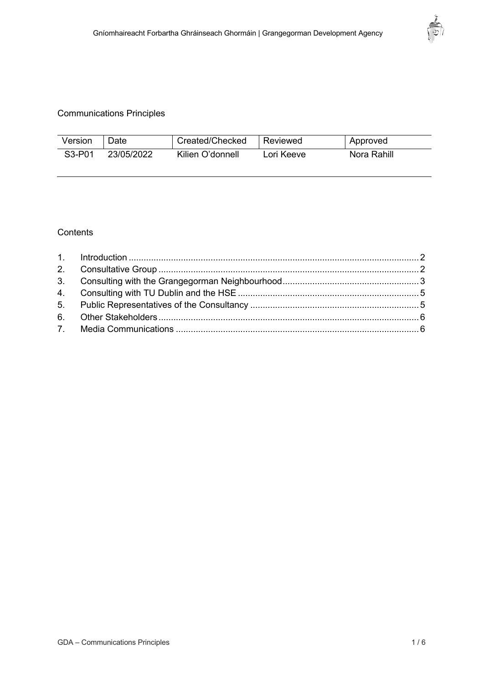

# Communications Principles

| Version                         | Date       | Created/Checked  | l Reviewed | Approved    |
|---------------------------------|------------|------------------|------------|-------------|
| S <sub>3</sub> -P <sub>01</sub> | 23/05/2022 | Kilien O'donnell | Lori Keeve | Nora Rahill |

## **Contents**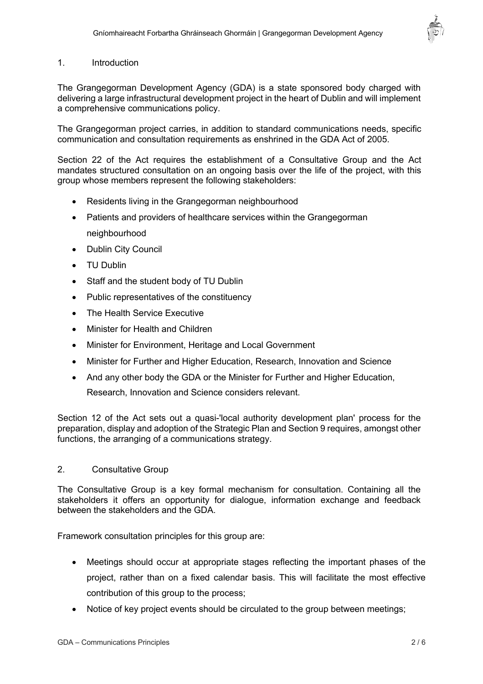

### 1. Introduction

The Grangegorman Development Agency (GDA) is a state sponsored body charged with delivering a large infrastructural development project in the heart of Dublin and will implement a comprehensive communications policy.

The Grangegorman project carries, in addition to standard communications needs, specific communication and consultation requirements as enshrined in the GDA Act of 2005.

Section 22 of the Act requires the establishment of a Consultative Group and the Act mandates structured consultation on an ongoing basis over the life of the project, with this group whose members represent the following stakeholders:

- Residents living in the Grangegorman neighbourhood
- Patients and providers of healthcare services within the Grangegorman neighbourhood
- Dublin City Council
- TU Dublin
- Staff and the student body of TU Dublin
- Public representatives of the constituency
- The Health Service Executive
- Minister for Health and Children
- Minister for Environment, Heritage and Local Government
- Minister for Further and Higher Education, Research, Innovation and Science
- And any other body the GDA or the Minister for Further and Higher Education, Research, Innovation and Science considers relevant.

Section 12 of the Act sets out a quasi-'local authority development plan' process for the preparation, display and adoption of the Strategic Plan and Section 9 requires, amongst other functions, the arranging of a communications strategy.

### 2. Consultative Group

The Consultative Group is a key formal mechanism for consultation. Containing all the stakeholders it offers an opportunity for dialogue, information exchange and feedback between the stakeholders and the GDA.

Framework consultation principles for this group are:

- Meetings should occur at appropriate stages reflecting the important phases of the project, rather than on a fixed calendar basis. This will facilitate the most effective contribution of this group to the process;
- Notice of key project events should be circulated to the group between meetings;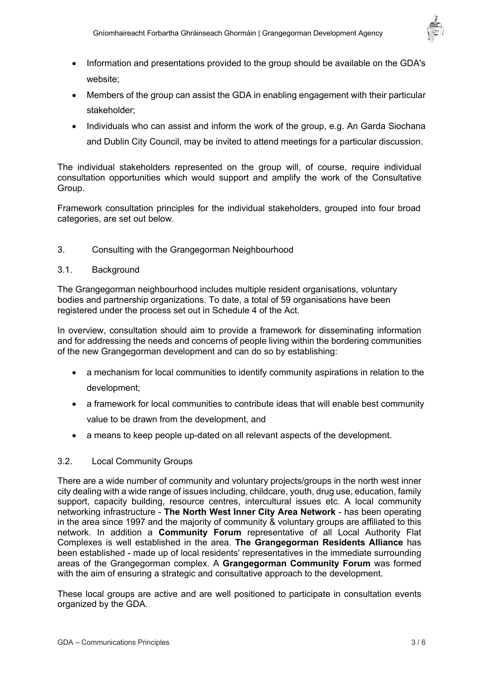

- Information and presentations provided to the group should be available on the GDA's website;
- Members of the group can assist the GDA in enabling engagement with their particular stakeholder;
- Individuals who can assist and inform the work of the group, e.g. An Garda Siochana and Dublin City Council, may be invited to attend meetings for a particular discussion.

The individual stakeholders represented on the group will, of course, require individual consultation opportunities which would support and amplify the work of the Consultative Group.

Framework consultation principles for the individual stakeholders, grouped into four broad categories, are set out below.

## 3. Consulting with the Grangegorman Neighbourhood

### 3.1. Background

The Grangegorman neighbourhood includes multiple resident organisations, voluntary bodies and partnership organizations. To date, a total of 59 organisations have been registered under the process set out in Schedule 4 of the Act.

In overview, consultation should aim to provide a framework for disseminating information and for addressing the needs and concerns of people living within the bordering communities of the new Grangegorman development and can do so by establishing:

- a mechanism for local communities to identify community aspirations in relation to the development;
- a framework for local communities to contribute ideas that will enable best community value to be drawn from the development, and
- a means to keep people up-dated on all relevant aspects of the development.

### 3.2. Local Community Groups

There are a wide number of community and voluntary projects/groups in the north west inner city dealing with a wide range of issues including, childcare, youth, drug use, education, family support, capacity building, resource centres, intercultural issues etc. A local community networking infrastructure - **The North West Inner City Area Network** - has been operating in the area since 1997 and the majority of community & voluntary groups are affiliated to this network. In addition a **Community Forum** representative of all Local Authority Flat Complexes is well established in the area. **The Grangegorman Residents Alliance** has been established - made up of local residents' representatives in the immediate surrounding areas of the Grangegorman complex. A **Grangegorman Community Forum** was formed with the aim of ensuring a strategic and consultative approach to the development.

These local groups are active and are well positioned to participate in consultation events organized by the GDA.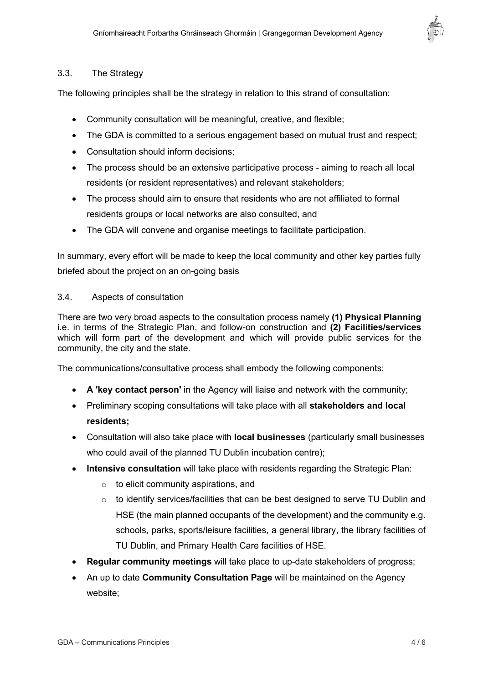

## 3.3. The Strategy

The following principles shall be the strategy in relation to this strand of consultation:

- Community consultation will be meaningful, creative, and flexible;
- The GDA is committed to a serious engagement based on mutual trust and respect;
- Consultation should inform decisions;
- The process should be an extensive participative process aiming to reach all local residents (or resident representatives) and relevant stakeholders;
- The process should aim to ensure that residents who are not affiliated to formal residents groups or local networks are also consulted, and
- The GDA will convene and organise meetings to facilitate participation.

In summary, every effort will be made to keep the local community and other key parties fully briefed about the project on an on-going basis

### 3.4. Aspects of consultation

There are two very broad aspects to the consultation process namely **(1) Physical Planning** i.e. in terms of the Strategic Plan, and follow-on construction and **(2) Facilities/services** which will form part of the development and which will provide public services for the community, the city and the state.

The communications/consultative process shall embody the following components:

- **A 'key contact person'** in the Agency will liaise and network with the community;
- Preliminary scoping consultations will take place with all **stakeholders and local residents;**
- Consultation will also take place with **local businesses** (particularly small businesses who could avail of the planned TU Dublin incubation centre);
- **Intensive consultation** will take place with residents regarding the Strategic Plan:
	- o to elicit community aspirations, and
	- $\circ$  to identify services/facilities that can be best designed to serve TU Dublin and HSE (the main planned occupants of the development) and the community e.g. schools, parks, sports/leisure facilities, a general library, the library facilities of TU Dublin, and Primary Health Care facilities of HSE.
- **Regular community meetings** will take place to up-date stakeholders of progress;
- An up to date **Community Consultation Page** will be maintained on the Agency website: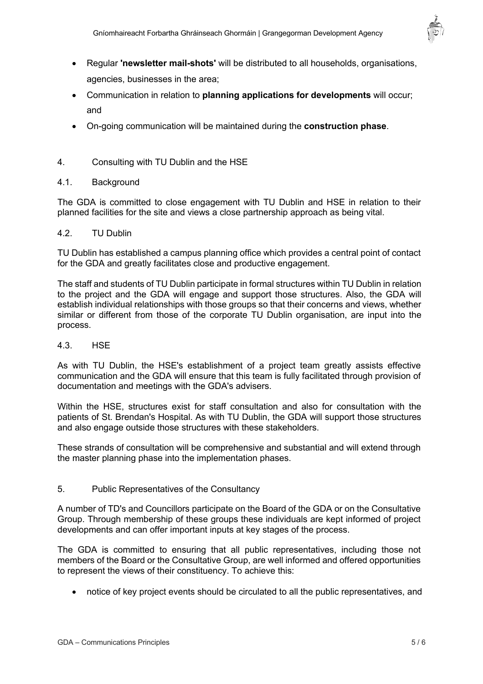

- Regular **'newsletter mail-shots'** will be distributed to all households, organisations, agencies, businesses in the area;
- Communication in relation to **planning applications for developments** will occur; and
- On-going communication will be maintained during the **construction phase**.

# 4. Consulting with TU Dublin and the HSE

## 4.1. Background

The GDA is committed to close engagement with TU Dublin and HSE in relation to their planned facilities for the site and views a close partnership approach as being vital.

### 4.2. TU Dublin

TU Dublin has established a campus planning office which provides a central point of contact for the GDA and greatly facilitates close and productive engagement.

The staff and students of TU Dublin participate in formal structures within TU Dublin in relation to the project and the GDA will engage and support those structures. Also, the GDA will establish individual relationships with those groups so that their concerns and views, whether similar or different from those of the corporate TU Dublin organisation, are input into the process.

### 4.3. HSE

As with TU Dublin, the HSE's establishment of a project team greatly assists effective communication and the GDA will ensure that this team is fully facilitated through provision of documentation and meetings with the GDA's advisers.

Within the HSE, structures exist for staff consultation and also for consultation with the patients of St. Brendan's Hospital. As with TU Dublin, the GDA will support those structures and also engage outside those structures with these stakeholders.

These strands of consultation will be comprehensive and substantial and will extend through the master planning phase into the implementation phases.

## 5. Public Representatives of the Consultancy

A number of TD's and Councillors participate on the Board of the GDA or on the Consultative Group. Through membership of these groups these individuals are kept informed of project developments and can offer important inputs at key stages of the process.

The GDA is committed to ensuring that all public representatives, including those not members of the Board or the Consultative Group, are well informed and offered opportunities to represent the views of their constituency. To achieve this:

• notice of key project events should be circulated to all the public representatives, and